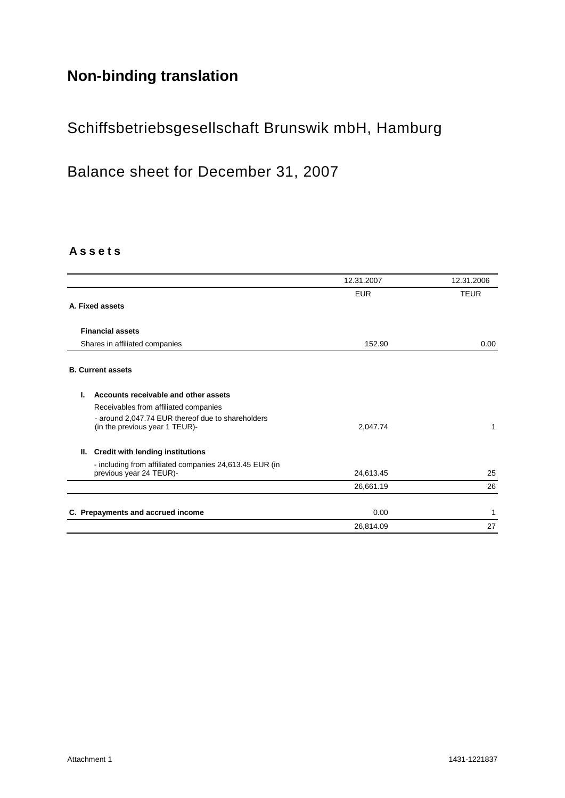# **Non-binding translation**

# Schiffsbetriebsgesellschaft Brunswik mbH, Hamburg

Balance sheet for December 31, 2007

### **A s s e t s**

|                                                         | 12.31.2007 | 12.31.2006  |
|---------------------------------------------------------|------------|-------------|
|                                                         | <b>EUR</b> | <b>TEUR</b> |
| A. Fixed assets                                         |            |             |
| <b>Financial assets</b>                                 |            |             |
|                                                         |            |             |
| Shares in affiliated companies                          | 152.90     | 0.00        |
| <b>B. Current assets</b>                                |            |             |
|                                                         |            |             |
| Accounts receivable and other assets<br>L               |            |             |
| Receivables from affiliated companies                   |            |             |
| - around 2,047.74 EUR thereof due to shareholders       |            |             |
| (in the previous year 1 TEUR)-                          | 2,047.74   | 1           |
| <b>Credit with lending institutions</b><br>Ш.           |            |             |
| - including from affiliated companies 24,613.45 EUR (in |            |             |
| previous year 24 TEUR)-                                 | 24,613.45  | 25          |
|                                                         | 26,661.19  | 26          |
|                                                         |            |             |
| C. Prepayments and accrued income                       | 0.00       | 1           |
|                                                         | 26,814.09  | 27          |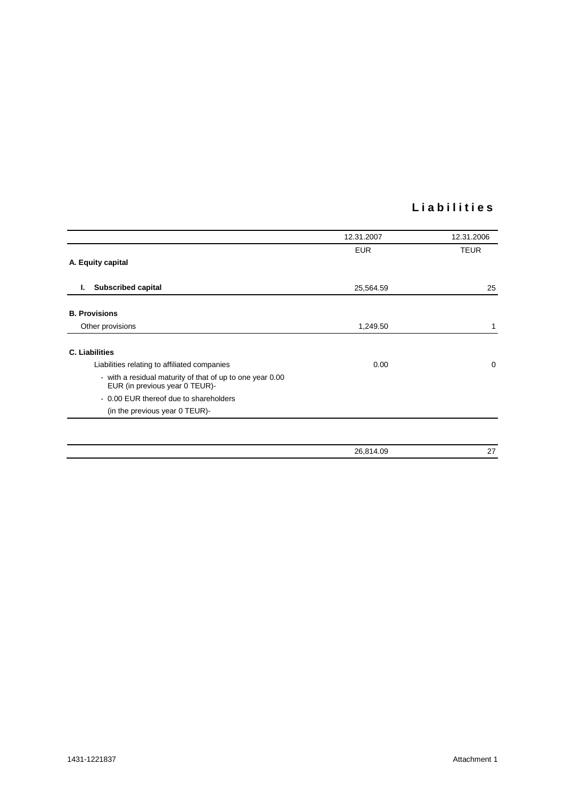## **L i a b i l i t i e s**

| 12.31.2007 | 12.31.2006  |
|------------|-------------|
| <b>EUR</b> | <b>TEUR</b> |
|            |             |
| 25,564.59  | 25          |
|            |             |
| 1,249.50   |             |
|            |             |
| 0.00       | $\mathbf 0$ |
|            |             |
|            |             |
|            |             |
|            |             |
| 26,814.09  | 27          |
|            |             |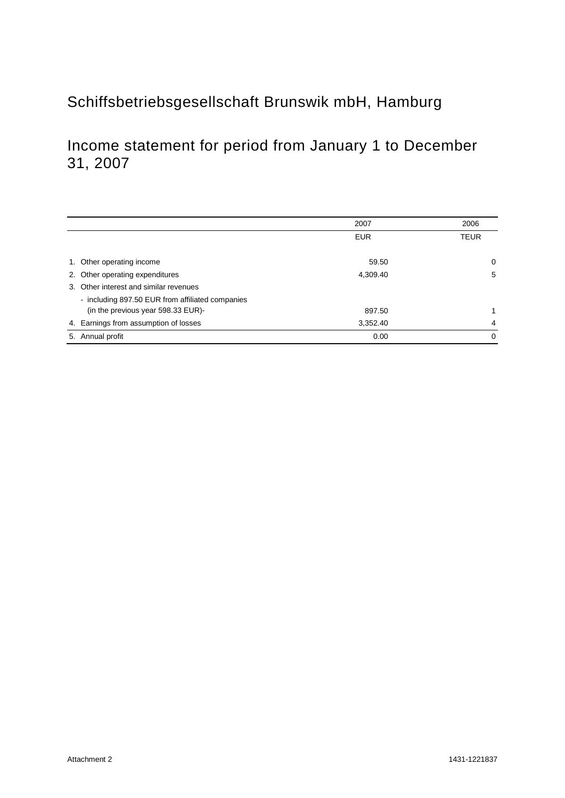# Schiffsbetriebsgesellschaft Brunswik mbH, Hamburg

# Income statement for period from January 1 to December 31, 2007

|                                                  | 2007       | 2006     |
|--------------------------------------------------|------------|----------|
|                                                  | <b>EUR</b> | TEUR     |
|                                                  |            |          |
| 1. Other operating income                        | 59.50      | 0        |
| 2. Other operating expenditures                  | 4.309.40   | 5        |
| Other interest and similar revenues<br>3.        |            |          |
| - including 897.50 EUR from affiliated companies |            |          |
| (in the previous year 598.33 EUR)-               | 897.50     |          |
| 4. Earnings from assumption of losses            | 3.352.40   | 4        |
| Annual profit<br>5.                              | 0.00       | $\Omega$ |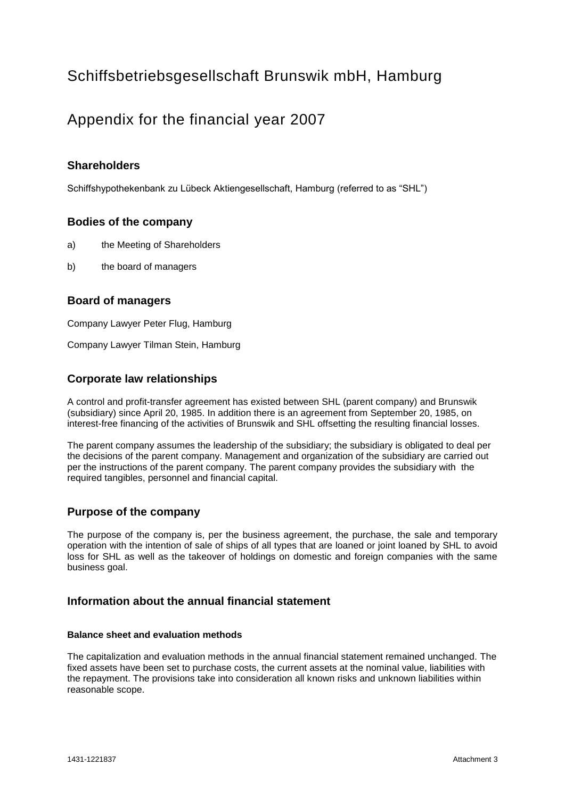# Schiffsbetriebsgesellschaft Brunswik mbH, Hamburg

## Appendix for the financial year 2007

## **Shareholders**

Schiffshypothekenbank zu Lübeck Aktiengesellschaft, Hamburg (referred to as "SHL")

### **Bodies of the company**

- a) the Meeting of Shareholders
- b) the board of managers

## **Board of managers**

Company Lawyer Peter Flug, Hamburg

Company Lawyer Tilman Stein, Hamburg

### **Corporate law relationships**

A control and profit-transfer agreement has existed between SHL (parent company) and Brunswik (subsidiary) since April 20, 1985. In addition there is an agreement from September 20, 1985, on interest-free financing of the activities of Brunswik and SHL offsetting the resulting financial losses.

The parent company assumes the leadership of the subsidiary; the subsidiary is obligated to deal per the decisions of the parent company. Management and organization of the subsidiary are carried out per the instructions of the parent company. The parent company provides the subsidiary with the required tangibles, personnel and financial capital.

### **Purpose of the company**

The purpose of the company is, per the business agreement, the purchase, the sale and temporary operation with the intention of sale of ships of all types that are loaned or joint loaned by SHL to avoid loss for SHL as well as the takeover of holdings on domestic and foreign companies with the same business goal.

### **Information about the annual financial statement**

### **Balance sheet and evaluation methods**

The capitalization and evaluation methods in the annual financial statement remained unchanged. The fixed assets have been set to purchase costs, the current assets at the nominal value, liabilities with the repayment. The provisions take into consideration all known risks and unknown liabilities within reasonable scope.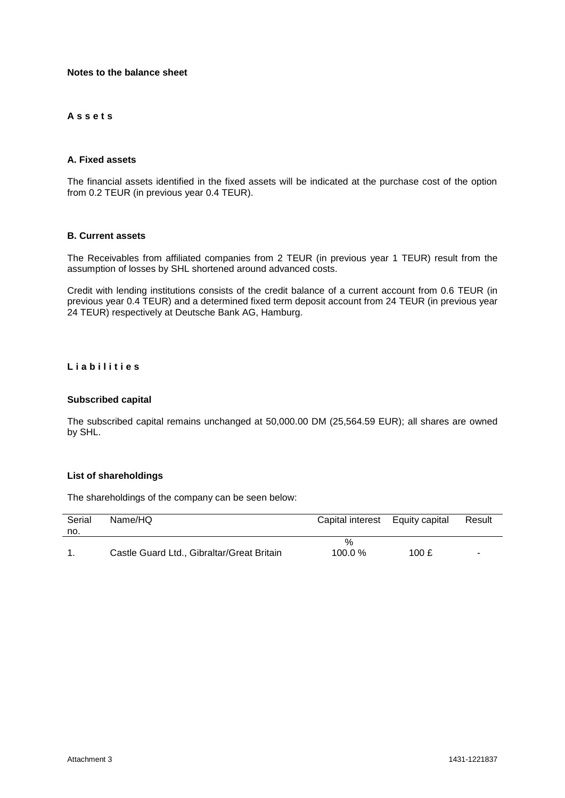#### **Notes to the balance sheet**

### **A s s e t s**

#### **A. Fixed assets**

The financial assets identified in the fixed assets will be indicated at the purchase cost of the option from 0.2 TEUR (in previous year 0.4 TEUR).

#### **B. Current assets**

The Receivables from affiliated companies from 2 TEUR (in previous year 1 TEUR) result from the assumption of losses by SHL shortened around advanced costs.

Credit with lending institutions consists of the credit balance of a current account from 0.6 TEUR (in previous year 0.4 TEUR) and a determined fixed term deposit account from 24 TEUR (in previous year 24 TEUR) respectively at Deutsche Bank AG, Hamburg.

#### **L i a b i l i t i e s**

#### **Subscribed capital**

The subscribed capital remains unchanged at 50,000.00 DM (25,564.59 EUR); all shares are owned by SHL.

#### **List of shareholdings**

The shareholdings of the company can be seen below:

| Serial<br>no. | Name/HQ                                    | Capital interest Equity capital |       | Result |
|---------------|--------------------------------------------|---------------------------------|-------|--------|
|               | Castle Guard Ltd., Gibraltar/Great Britain | %<br>100.0%                     | 100 £ |        |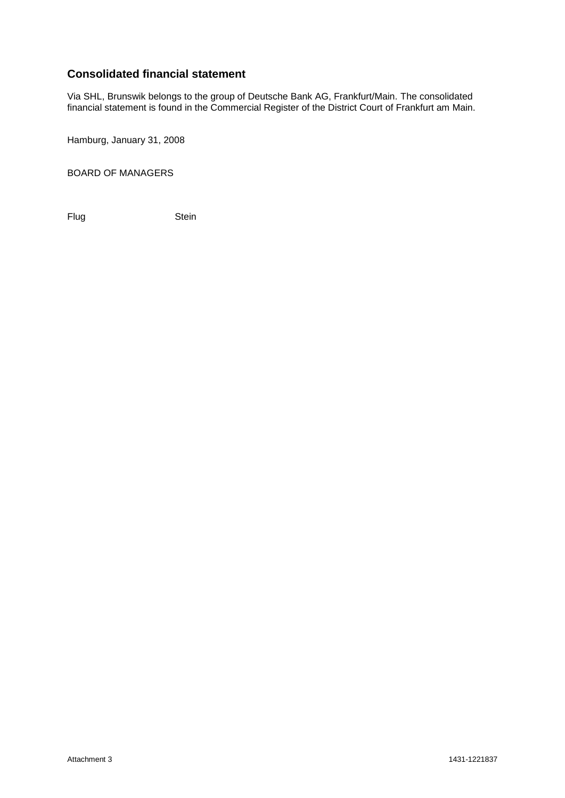## **Consolidated financial statement**

Via SHL, Brunswik belongs to the group of Deutsche Bank AG, Frankfurt/Main. The consolidated financial statement is found in the Commercial Register of the District Court of Frankfurt am Main.

Hamburg, January 31, 2008

BOARD OF MANAGERS

Flug Stein